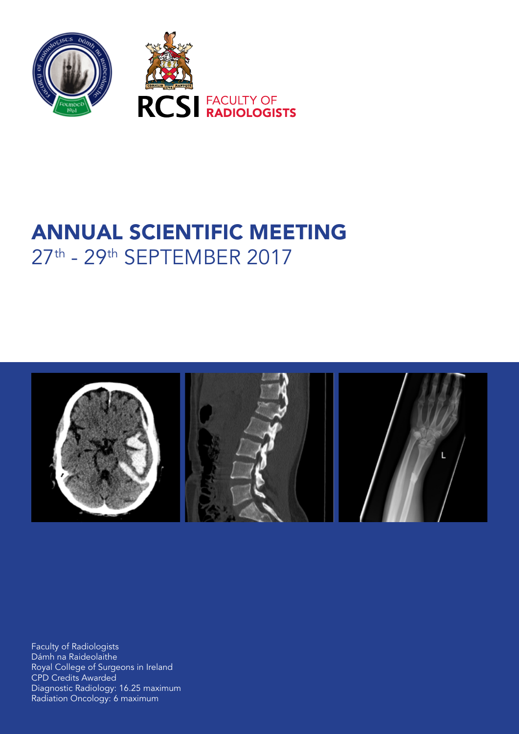

# ANNUAL SCIENTIFIC MEETING 27th - 29th SEPTEMBER 2017



Faculty of Radiologists Dámh na Raideolaithe Royal College of Surgeons in Ireland CPD Credits Awarded Diagnostic Radiology: 16.25 maximum Radiation Oncology: 6 maximum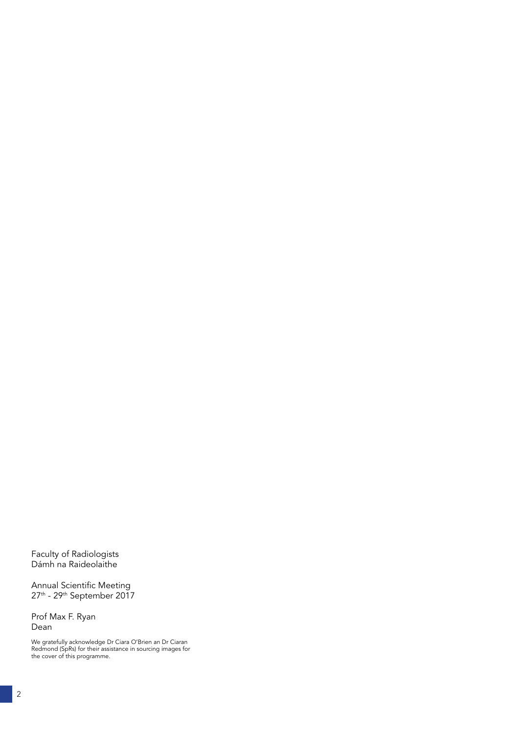Faculty of Radiologists Dámh na Raideolaithe

Annual Scientific Meeting 27th - 29th September 2017

Prof Max F. Ryan Dean

We gratefully acknowledge Dr Ciara O'Brien an Dr Ciaran Redmond (SpRs) for their assistance in sourcing images for the cover of this programme.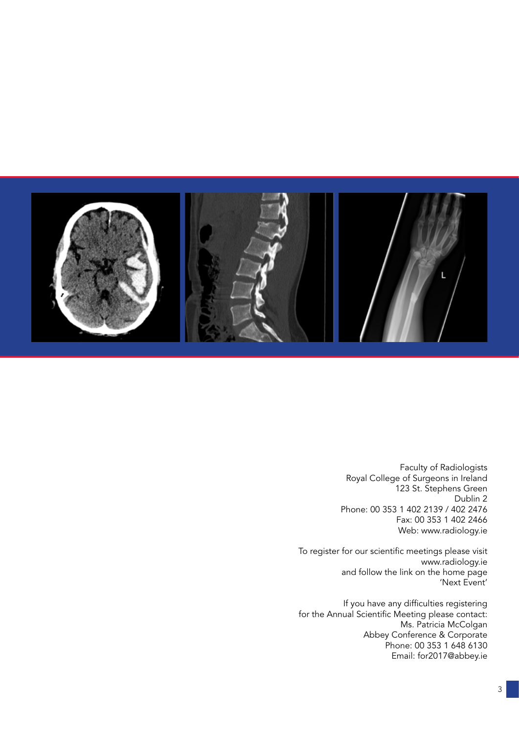

Faculty of Radiologists Royal College of Surgeons in Ireland 123 St. Stephens Green Dublin 2 Phone: 00 353 1 402 2139 / 402 2476 Fax: 00 353 1 402 2466 Web: www.radiology.ie

To register for our scientific meetings please visit www.radiology.ie and follow the link on the home page 'Next Event'

If you have any difficulties registering for the Annual Scientific Meeting please contact: Ms. Patricia McColgan Abbey Conference & Corporate Phone: 00 353 1 648 6130 Email: for2017@abbey.ie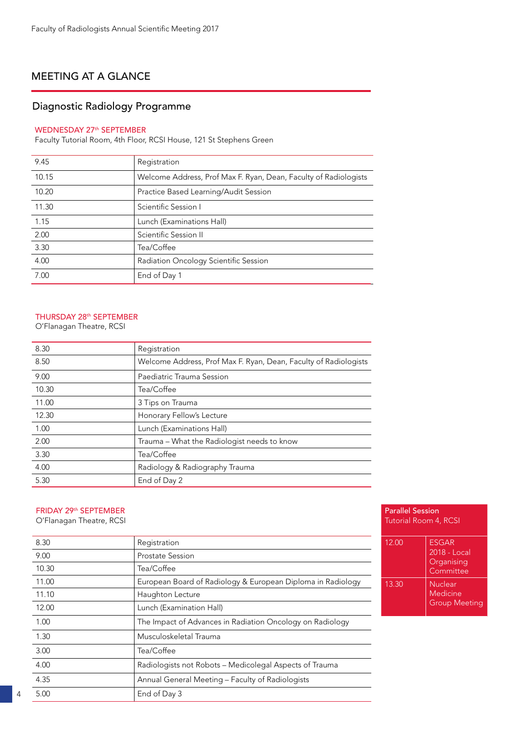# MEETING AT A GLANCE

# Diagnostic Radiology Programme

#### WEDNESDAY 27<sup>th</sup> SEPTEMBER

Faculty Tutorial Room, 4th Floor, RCSI House, 121 St Stephens Green

| 9.45  | Registration                                                     |
|-------|------------------------------------------------------------------|
| 10.15 | Welcome Address, Prof Max F. Ryan, Dean, Faculty of Radiologists |
| 10.20 | Practice Based Learning/Audit Session                            |
| 11.30 | Scientific Session I                                             |
| 1.15  | Lunch (Examinations Hall)                                        |
| 2.00  | Scientific Session II                                            |
| 3.30  | Tea/Coffee                                                       |
| 4.00  | Radiation Oncology Scientific Session                            |
| 7.00  | End of Day 1                                                     |

### THURSDAY 28th SEPTEMBER

O'Flanagan Theatre, RCSI

| 8.30  | Registration                                                     |
|-------|------------------------------------------------------------------|
| 8.50  | Welcome Address, Prof Max F. Ryan, Dean, Faculty of Radiologists |
| 9.00  | Paediatric Trauma Session                                        |
| 10.30 | Tea/Coffee                                                       |
| 11.00 | 3 Tips on Trauma                                                 |
| 12.30 | Honorary Fellow's Lecture                                        |
| 1.00  | Lunch (Examinations Hall)                                        |
| 2.00  | Trauma – What the Radiologist needs to know                      |
| 3.30  | Tea/Coffee                                                       |
| 4.00  | Radiology & Radiography Trauma                                   |
| 5.30  | End of Day 2                                                     |
|       |                                                                  |

### FRIDAY 29th SEPTEMBER

O'Flanagan Theatre, RCSI

| 8.30  | Registration                                                |
|-------|-------------------------------------------------------------|
| 9.00  | <b>Prostate Session</b>                                     |
| 10.30 | Tea/Coffee                                                  |
| 11.00 | European Board of Radiology & European Diploma in Radiology |
| 11.10 | Haughton Lecture                                            |
| 12.00 | Lunch (Examination Hall)                                    |
| 1.00  | The Impact of Advances in Radiation Oncology on Radiology   |
| 1.30  | Musculoskeletal Trauma                                      |
| 3.00  | Tea/Coffee                                                  |
| 4.00  | Radiologists not Robots - Medicolegal Aspects of Trauma     |
| 4.35  | Annual General Meeting - Faculty of Radiologists            |
| 5.00  | End of Day 3                                                |

| <b>Parallel Session</b><br>Tutorial Room 4, RCSI |                                                         |  |
|--------------------------------------------------|---------------------------------------------------------|--|
| 12.00                                            | <b>FSGAR</b><br>2018 - Local<br>Organising<br>Committee |  |
| 13.30                                            | Nuclear<br>Medicine<br><b>Group Meeting</b>             |  |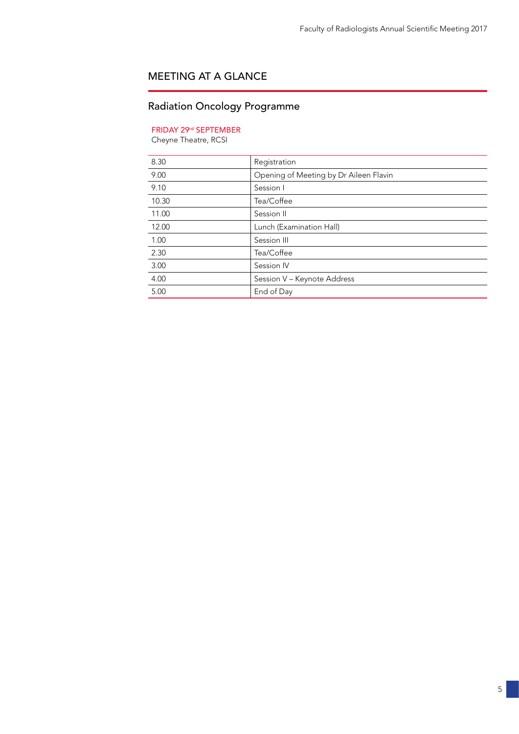# MEETING AT A GLANCE

# Radiation Oncology Programme

### FRIDAY 29rd SEPTEMBER

Cheyne Theatre, RCSI

| 8.30  | Registration                           |
|-------|----------------------------------------|
| 9.00  | Opening of Meeting by Dr Aileen Flavin |
| 9.10  | Session I                              |
| 10.30 | Tea/Coffee                             |
| 11.00 | Session II                             |
| 12.00 | Lunch (Examination Hall)               |
| 1.00  | Session III                            |
| 2.30  | Tea/Coffee                             |
| 3.00  | Session IV                             |
| 4.00  | Session V - Keynote Address            |
| 5.00  | End of Day                             |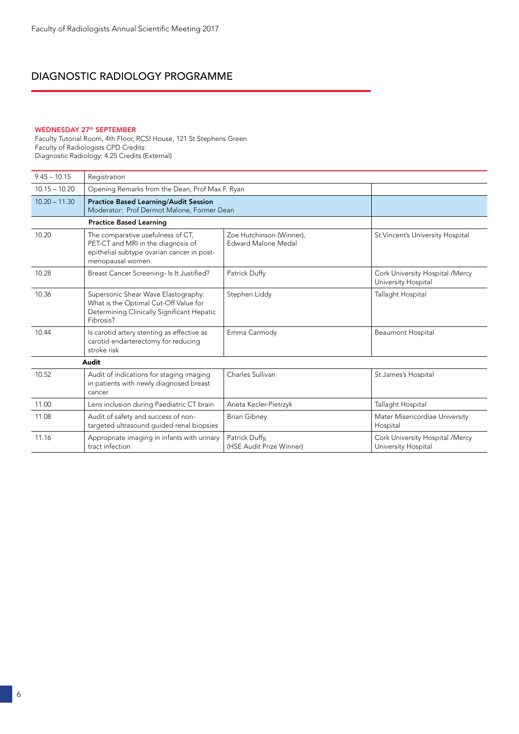### WEDNESDAY 27<sup>th</sup> SEPTEMBER

Faculty Tutorial Room, 4th Floor, RCSI House, 121 St Stephens Green Faculty of Radiologists CPD Credits: Diagnostic Radiology: 4.25 Credits (External)

| $9.45 - 10.15$  | Registration                                                                                                                               |                                                 |                                                        |
|-----------------|--------------------------------------------------------------------------------------------------------------------------------------------|-------------------------------------------------|--------------------------------------------------------|
| $10.15 - 10.20$ | Opening Remarks from the Dean, Prof Max F. Ryan                                                                                            |                                                 |                                                        |
| $10.20 - 11.30$ | <b>Practice Based Learning/Audit Session</b><br>Moderator: Prof Dermot Malone, Former Dean                                                 |                                                 |                                                        |
|                 | <b>Practice Based Learning</b>                                                                                                             |                                                 |                                                        |
| 10.20           | The comparative usefulness of CT,<br>PET-CT and MRI in the diagnosis of<br>epithelial subtype ovarian cancer in post-<br>menopausal women. | Zoe Hutchinson (Winner).<br>Edward Malone Medal | St Vincent's University Hospital                       |
| 10.28           | Breast Cancer Screening- Is It Justified?                                                                                                  | Patrick Duffy                                   | Cork University Hospital /Mercy<br>University Hospital |
| 10.36           | Supersonic Shear Wave Elastography:<br>What is the Optimal Cut-Off Value for<br>Determining Clinically Significant Hepatic<br>Fibrosis?    | Stephen Liddy                                   | Tallaght Hospital                                      |
| 10.44           | Is carotid artery stenting as effective as<br>carotid endarterectomy for reducing<br>stroke risk                                           | Emma Carmody                                    | <b>Beaumont Hospital</b>                               |
|                 | Audit                                                                                                                                      |                                                 |                                                        |
| 10.52           | Audit of indications for staging imaging<br>in patients with newly diagnosed breast<br>cancer                                              | Charles Sullivan                                | St James's Hospital                                    |
| 11.00           | Lens inclusion during Paediatric CT brain                                                                                                  | Aneta Kecler-Pietrzyk                           | Tallaght Hospital                                      |
| 11.08           | Audit of safety and success of non-<br>targeted ultrasound guided renal biopsies                                                           | <b>Brian Gibney</b>                             | Mater Misericordiae University<br>Hospital             |
| 11.16           | Appropriate imaging in infants with urinary<br>tract infection                                                                             | Patrick Duffy,<br>(HSE Audit Prize Winner)      | Cork University Hospital /Mercy<br>University Hospital |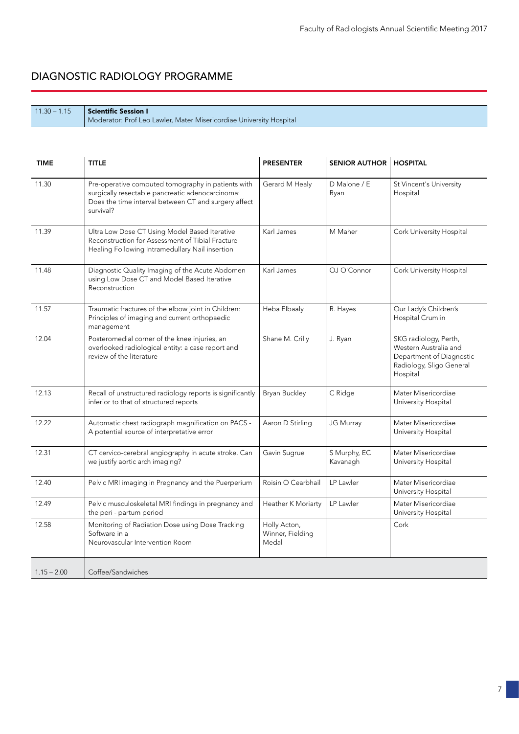| $11.30 - 1.15$ Scientific Session I                                 |
|---------------------------------------------------------------------|
| Moderator: Prof Leo Lawler, Mater Misericordiae University Hospital |

| <b>TIME</b>   | <b>TITLE</b>                                                                                                                                                                | <b>PRESENTER</b>                          | <b>SENIOR AUTHOR</b>     | <b>HOSPITAL</b>                                                                                                    |
|---------------|-----------------------------------------------------------------------------------------------------------------------------------------------------------------------------|-------------------------------------------|--------------------------|--------------------------------------------------------------------------------------------------------------------|
| 11.30         | Pre-operative computed tomography in patients with<br>surgically resectable pancreatic adenocarcinoma:<br>Does the time interval between CT and surgery affect<br>survival? | Gerard M Healy                            | D Malone / E<br>Ryan     | St Vincent's University<br>Hospital                                                                                |
| 11.39         | Ultra Low Dose CT Using Model Based Iterative<br>Reconstruction for Assessment of Tibial Fracture<br>Healing Following Intramedullary Nail insertion                        | Karl James                                | M Maher                  | Cork University Hospital                                                                                           |
| 11.48         | Diagnostic Quality Imaging of the Acute Abdomen<br>using Low Dose CT and Model Based Iterative<br>Reconstruction                                                            | Karl James                                | OJ O'Connor              | Cork University Hospital                                                                                           |
| 11.57         | Traumatic fractures of the elbow joint in Children:<br>Principles of imaging and current orthopaedic<br>management                                                          | Heba Elbaaly                              | R. Hayes                 | Our Lady's Children's<br>Hospital Crumlin                                                                          |
| 12.04         | Posteromedial corner of the knee injuries, an<br>overlooked radiological entity: a case report and<br>review of the literature                                              | Shane M. Crilly                           | J. Ryan                  | SKG radiology, Perth,<br>Western Australia and<br>Department of Diagnostic<br>Radiology, Sligo General<br>Hospital |
| 12.13         | Recall of unstructured radiology reports is significantly<br>inferior to that of structured reports                                                                         | Bryan Buckley                             | C Ridge                  | Mater Misericordiae<br>University Hospital                                                                         |
| 12.22         | Automatic chest radiograph magnification on PACS -<br>A potential source of interpretative error                                                                            | Aaron D Stirling                          | JG Murray                | Mater Misericordiae<br>University Hospital                                                                         |
| 12.31         | CT cervico-cerebral angiography in acute stroke. Can<br>we justify aortic arch imaging?                                                                                     | Gavin Sugrue                              | S Murphy, EC<br>Kavanagh | Mater Misericordiae<br>University Hospital                                                                         |
| 12.40         | Pelvic MRI imaging in Pregnancy and the Puerperium                                                                                                                          | Roisin O Cearbhail                        | LP Lawler                | Mater Misericordiae<br>University Hospital                                                                         |
| 12.49         | Pelvic musculoskeletal MRI findings in pregnancy and<br>the peri - partum period                                                                                            | Heather K Moriarty                        | LP Lawler                | Mater Misericordiae<br>University Hospital                                                                         |
| 12.58         | Monitoring of Radiation Dose using Dose Tracking<br>Software in a<br>Neurovascular Intervention Room                                                                        | Holly Acton,<br>Winner, Fielding<br>Medal |                          | Cork                                                                                                               |
| $1.15 - 2.00$ | Coffee/Sandwiches                                                                                                                                                           |                                           |                          |                                                                                                                    |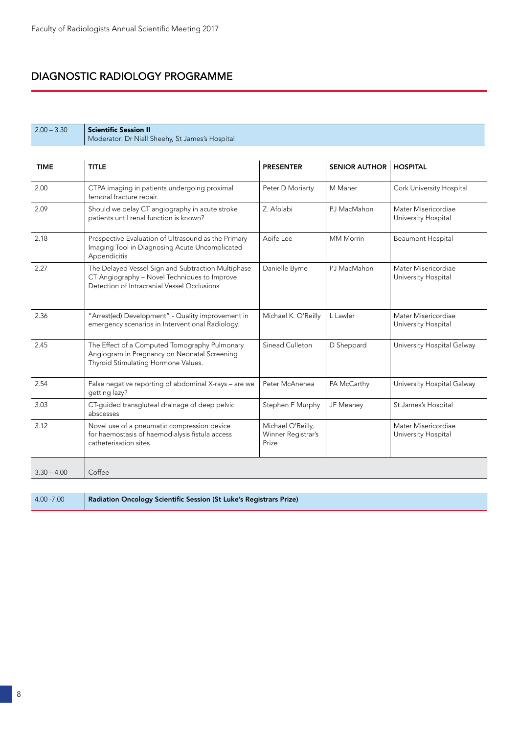| $2.00 - 3.30$ | <b>Scientific Session II</b><br>Moderator: Dr Niall Sheehy, St James's Hospital                                                                   |                                                  |                      |                                            |
|---------------|---------------------------------------------------------------------------------------------------------------------------------------------------|--------------------------------------------------|----------------------|--------------------------------------------|
|               |                                                                                                                                                   |                                                  |                      |                                            |
| <b>TIME</b>   | <b>TITLE</b>                                                                                                                                      | <b>PRESENTER</b>                                 | <b>SENIOR AUTHOR</b> | <b>HOSPITAL</b>                            |
| 2.00          | CTPA imaging in patients undergoing proximal<br>femoral fracture repair.                                                                          | Peter D Moriarty                                 | M Maher              | Cork University Hospital                   |
| 2.09          | Should we delay CT angiography in acute stroke<br>patients until renal function is known?                                                         | Z. Afolabi                                       | PJ MacMahon          | Mater Misericordiae<br>University Hospital |
| 2.18          | Prospective Evaluation of Ultrasound as the Primary<br>Imaging Tool in Diagnosing Acute Uncomplicated<br>Appendicitis                             | Aoife Lee                                        | <b>MM Morrin</b>     | <b>Beaumont Hospital</b>                   |
| 2.27          | The Delayed Vessel Sign and Subtraction Multiphase<br>CT Angiography - Novel Techniques to Improve<br>Detection of Intracranial Vessel Occlusions | Danielle Byrne                                   | PJ MacMahon          | Mater Misericordiae<br>University Hospital |
| 2.36          | "Arrest(ed) Development" - Quality improvement in<br>emergency scenarios in Interventional Radiology.                                             | Michael K. O'Reilly                              | L Lawler             | Mater Misericordiae<br>University Hospital |
| 2.45          | The Effect of a Computed Tomography Pulmonary<br>Angiogram in Pregnancy on Neonatal Screening<br>Thyroid Stimulating Hormone Values.              | Sinead Culleton                                  | D Sheppard           | University Hospital Galway                 |
| 2.54          | False negative reporting of abdominal X-rays - are we<br>getting lazy?                                                                            | Peter McAnenea                                   | PA McCarthy          | University Hospital Galway                 |
| 3.03          | CT-guided transgluteal drainage of deep pelvic<br>abscesses                                                                                       | Stephen F Murphy                                 | JF Meaney            | St James's Hospital                        |
| 3.12          | Novel use of a pneumatic compression device<br>for haemostasis of haemodialysis fistula access<br>catheterisation sites                           | Michael O'Reilly,<br>Winner Registrar's<br>Prize |                      | Mater Misericordiae<br>University Hospital |
| $3.30 - 4.00$ | Coffee                                                                                                                                            |                                                  |                      |                                            |
|               |                                                                                                                                                   |                                                  |                      |                                            |

| $4.00 - 7.00$ | Radiation Oncology Scientific Session (St Luke's Registrars Prize) |
|---------------|--------------------------------------------------------------------|
|               |                                                                    |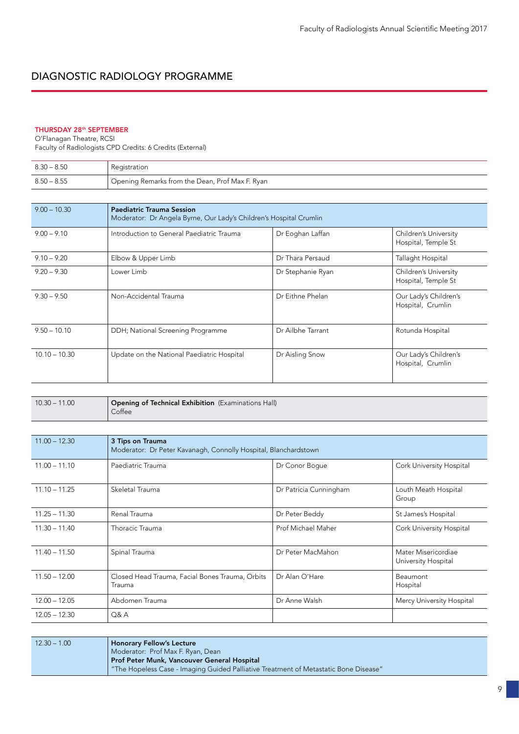### THURSDAY 28th SEPTEMBER

O'Flanagan Theatre, RCSI Faculty of Radiologists CPD Credits: 6 Credits (External)

| $8.30 - 8.50$ | Registration                                    |
|---------------|-------------------------------------------------|
| $8.50 - 8.55$ | Opening Remarks from the Dean, Prof Max F. Ryan |

| $9.00 - 10.30$  | <b>Paediatric Trauma Session</b><br>Moderator: Dr Angela Byrne, Our Lady's Children's Hospital Crumlin |                   |                                                     |  |
|-----------------|--------------------------------------------------------------------------------------------------------|-------------------|-----------------------------------------------------|--|
| $9.00 - 9.10$   | Introduction to General Paediatric Trauma                                                              | Dr Eoghan Laffan  | <b>Children's University</b><br>Hospital, Temple St |  |
| $9.10 - 9.20$   | Elbow & Upper Limb                                                                                     | Dr Thara Persaud  | Tallaght Hospital                                   |  |
| $9.20 - 9.30$   | Lower Limb                                                                                             | Dr Stephanie Ryan | Children's University<br>Hospital, Temple St        |  |
| $9.30 - 9.50$   | Non-Accidental Trauma                                                                                  | Dr Eithne Phelan  | Our Lady's Children's<br>Hospital, Crumlin          |  |
| $9.50 - 10.10$  | DDH; National Screening Programme                                                                      | Dr Ailbhe Tarrant | Rotunda Hospital                                    |  |
| $10.10 - 10.30$ | Update on the National Paediatric Hospital                                                             | Dr Aisling Snow   | Our Lady's Children's<br>Hospital, Crumlin          |  |

| $10.30 - 11.00$ | <b>Opening of Technical Exhibition</b> (Examinations Hall)<br>Coffee |
|-----------------|----------------------------------------------------------------------|
|                 |                                                                      |

| $11.00 - 12.30$ | 3 Tips on Trauma<br>Moderator: Dr Peter Kavanagh, Connolly Hospital, Blanchardstown |                        |                                            |
|-----------------|-------------------------------------------------------------------------------------|------------------------|--------------------------------------------|
| $11.00 - 11.10$ | Paediatric Trauma                                                                   | Dr Conor Boque         | Cork University Hospital                   |
| $11.10 - 11.25$ | Skeletal Trauma                                                                     | Dr Patricia Cunningham | Louth Meath Hospital<br>Group              |
| $11.25 - 11.30$ | Renal Trauma                                                                        | Dr Peter Beddy         | St James's Hospital                        |
| $11.30 - 11.40$ | Thoracic Trauma                                                                     | Prof Michael Maher     | Cork University Hospital                   |
| $11.40 - 11.50$ | Spinal Trauma                                                                       | Dr Peter MacMahon      | Mater Misericordiae<br>University Hospital |
| $11.50 - 12.00$ | Closed Head Trauma, Facial Bones Trauma, Orbits<br>Trauma                           | Dr Alan O'Hare         | Beaumont<br>Hospital                       |
| $12.00 - 12.05$ | Abdomen Trauma                                                                      | Dr Anne Walsh          | Mercy University Hospital                  |
| $12.05 - 12.30$ | Q&A                                                                                 |                        |                                            |

| $12.30 - 1.00$ | <b>Honorary Fellow's Lecture</b>                                                     |
|----------------|--------------------------------------------------------------------------------------|
|                | Moderator: Prof Max F. Ryan, Dean                                                    |
|                | Prof Peter Munk, Vancouver General Hospital                                          |
|                | "The Hopeless Case - Imaging Guided Palliative Treatment of Metastatic Bone Disease" |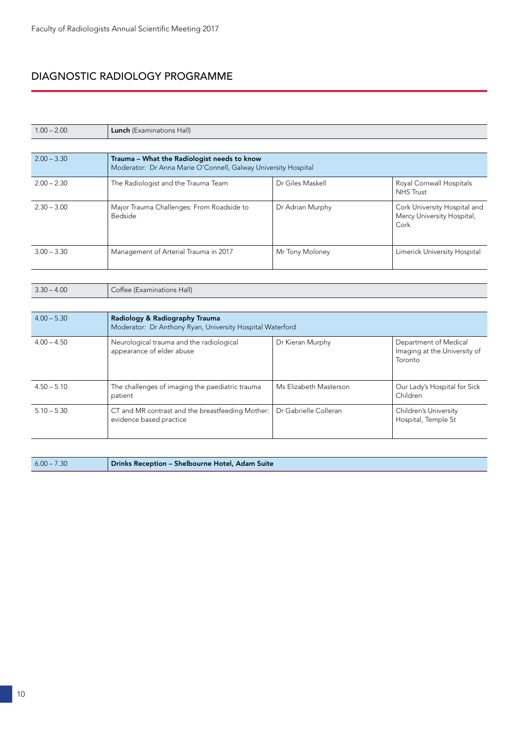| $1.00 - 2.00$ | <b>Lunch</b> (Examinations Hall)                                                                              |                        |                                                                    |
|---------------|---------------------------------------------------------------------------------------------------------------|------------------------|--------------------------------------------------------------------|
|               |                                                                                                               |                        |                                                                    |
| $2.00 - 3.30$ | Trauma - What the Radiologist needs to know<br>Moderator: Dr Anna Marie O'Connell, Galway University Hospital |                        |                                                                    |
| $2.00 - 2.30$ | The Radiologist and the Trauma Team                                                                           | Dr Giles Maskell       | Royal Cornwall Hospitals<br><b>NHS Trust</b>                       |
| $2.30 - 3.00$ | Major Trauma Challenges: From Roadside to<br><b>Bedside</b>                                                   | Dr Adrian Murphy       | Cork University Hospital and<br>Mercy University Hospital,<br>Cork |
| $3.00 - 3.30$ | Management of Arterial Trauma in 2017                                                                         | Mr Tony Moloney        | Limerick University Hospital                                       |
|               |                                                                                                               |                        |                                                                    |
| $3.30 - 4.00$ | Coffee (Examinations Hall)                                                                                    |                        |                                                                    |
|               |                                                                                                               |                        |                                                                    |
| $4.00 - 5.30$ | Radiology & Radiography Trauma<br>Moderator: Dr Anthony Ryan, University Hospital Waterford                   |                        |                                                                    |
| $4.00 - 4.50$ | Neurological trauma and the radiological<br>appearance of elder abuse                                         | Dr Kieran Murphy       | Department of Medical<br>Imaging at the University of<br>Toronto   |
| $4.50 - 5.10$ | The challenges of imaging the paediatric trauma<br>patient                                                    | Ms Elizabeth Masterson | Our Lady's Hospital for Sick<br>Children                           |
| $5.10 - 5.30$ | CT and MR contrast and the breastfeeding Mother:<br>evidence based practice                                   | Dr Gabrielle Colleran  | Children's University<br>Hospital, Temple St                       |

| $6.00 - 7.30$ | Drinks Reception - Shelbourne Hotel, Adam Suite |
|---------------|-------------------------------------------------|
|               |                                                 |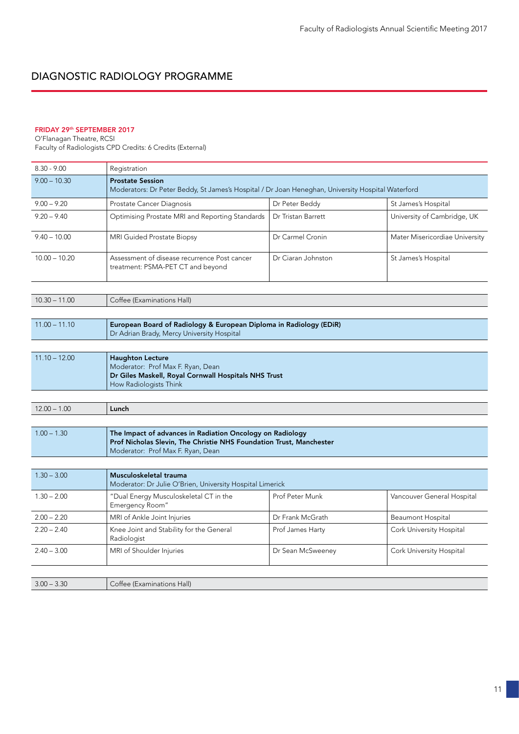### FRIDAY 29<sup>th</sup> SEPTEMBER 2017

O'Flanagan Theatre, RCSI Faculty of Radiologists CPD Credits: 6 Credits (External)

| $8.30 - 9.00$   | Registration                                                                                                                                                          |                                                                    |                                |  |
|-----------------|-----------------------------------------------------------------------------------------------------------------------------------------------------------------------|--------------------------------------------------------------------|--------------------------------|--|
| $9.00 - 10.30$  | <b>Prostate Session</b><br>Moderators: Dr Peter Beddy, St James's Hospital / Dr Joan Heneghan, University Hospital Waterford                                          |                                                                    |                                |  |
| $9.00 - 9.20$   | Prostate Cancer Diagnosis                                                                                                                                             | Dr Peter Beddy                                                     | St James's Hospital            |  |
| $9.20 - 9.40$   | Optimising Prostate MRI and Reporting Standards                                                                                                                       | Dr Tristan Barrett                                                 | University of Cambridge, UK    |  |
| $9.40 - 10.00$  | MRI Guided Prostate Biopsy                                                                                                                                            | Dr Carmel Cronin                                                   | Mater Misericordiae University |  |
| $10.00 - 10.20$ | Assessment of disease recurrence Post cancer<br>treatment: PSMA-PET CT and beyond                                                                                     | Dr Ciaran Johnston                                                 | St James's Hospital            |  |
| $10.30 - 11.00$ | Coffee (Examinations Hall)                                                                                                                                            |                                                                    |                                |  |
|                 |                                                                                                                                                                       |                                                                    |                                |  |
| $11.00 - 11.10$ | Dr Adrian Brady, Mercy University Hospital                                                                                                                            | European Board of Radiology & European Diploma in Radiology (EDiR) |                                |  |
|                 |                                                                                                                                                                       |                                                                    |                                |  |
| $11.10 - 12.00$ | <b>Haughton Lecture</b><br>Moderator: Prof Max F. Ryan, Dean<br>Dr Giles Maskell, Royal Cornwall Hospitals NHS Trust<br>How Radiologists Think                        |                                                                    |                                |  |
|                 |                                                                                                                                                                       |                                                                    |                                |  |
| $12.00 - 1.00$  | Lunch                                                                                                                                                                 |                                                                    |                                |  |
|                 |                                                                                                                                                                       |                                                                    |                                |  |
| $1.00 - 1.30$   | The Impact of advances in Radiation Oncology on Radiology<br>Prof Nicholas Slevin, The Christie NHS Foundation Trust, Manchester<br>Moderator: Prof Max F. Ryan, Dean |                                                                    |                                |  |
|                 |                                                                                                                                                                       |                                                                    |                                |  |
| $1.30 - 3.00$   | Musculoskeletal trauma<br>Moderator: Dr Julie O'Brien, University Hospital Limerick                                                                                   |                                                                    |                                |  |
| $1.30 - 2.00$   | "Dual Energy Musculoskeletal CT in the<br>Emergency Room"                                                                                                             | Prof Peter Munk                                                    | Vancouver General Hospital     |  |
| $2.00 - 2.20$   | MRI of Ankle Joint Injuries                                                                                                                                           | Dr Frank McGrath                                                   | <b>Beaumont Hospital</b>       |  |
| $2.20 - 2.40$   | Knee Joint and Stability for the General<br>Radiologist                                                                                                               | Prof James Harty                                                   | Cork University Hospital       |  |
| $2.40 - 3.00$   | MRI of Shoulder Injuries                                                                                                                                              | Dr Sean McSweeney                                                  | Cork University Hospital       |  |
|                 |                                                                                                                                                                       |                                                                    |                                |  |
| $3.00 - 3.30$   | Coffee (Examinations Hall)                                                                                                                                            |                                                                    |                                |  |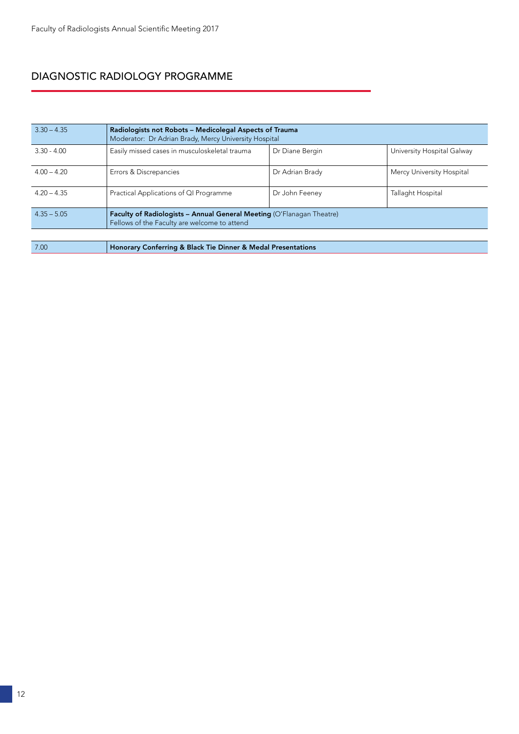| $3.30 - 4.35$ | Radiologists not Robots - Medicolegal Aspects of Trauma<br>Moderator: Dr Adrian Brady, Mercy University Hospital             |                 |                            |
|---------------|------------------------------------------------------------------------------------------------------------------------------|-----------------|----------------------------|
| $3.30 - 4.00$ | Easily missed cases in musculoskeletal trauma                                                                                | Dr Diane Bergin | University Hospital Galway |
| $400 - 420$   | Errors & Discrepancies                                                                                                       | Dr Adrian Brady | Mercy University Hospital  |
| $420 - 435$   | Practical Applications of QI Programme                                                                                       | Dr John Feeney  | Tallaght Hospital          |
| $4.35 - 5.05$ | <b>Faculty of Radiologists - Annual General Meeting (O'Flanagan Theatre)</b><br>Fellows of the Faculty are welcome to attend |                 |                            |

7.00 Honorary Conferring & Black Tie Dinner & Medal Presentations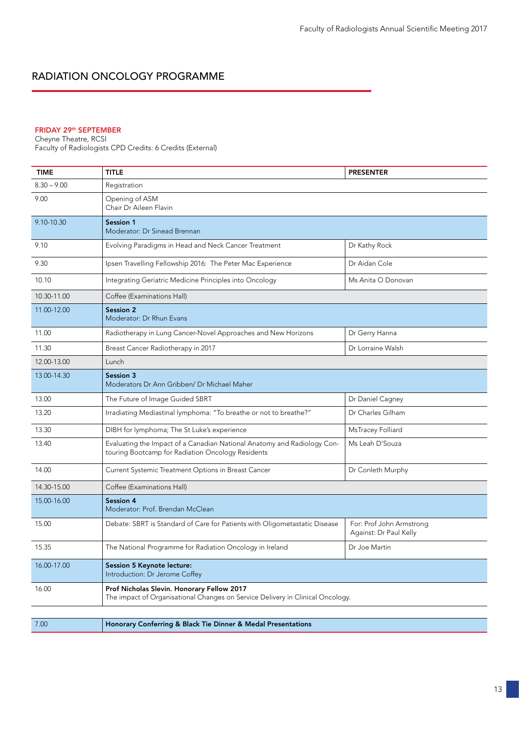## RADIATION ONCOLOGY PROGRAMME

### FRIDAY 29th SEPTEMBER

Cheyne Theatre, RCSI Faculty of Radiologists CPD Credits: 6 Credits (External)

| TIME          | <b>TITLE</b>                                                                                                                 | <b>PRESENTER</b>                                   |
|---------------|------------------------------------------------------------------------------------------------------------------------------|----------------------------------------------------|
| $8.30 - 9.00$ | Registration                                                                                                                 |                                                    |
| 9.00          | Opening of ASM<br>Chair Dr Aileen Flavin                                                                                     |                                                    |
| 9.10-10.30    | <b>Session 1</b><br>Moderator: Dr Sinead Brennan                                                                             |                                                    |
| 9.10          | Evolving Paradigms in Head and Neck Cancer Treatment                                                                         | Dr Kathy Rock                                      |
| 9.30          | Ipsen Travelling Fellowship 2016: The Peter Mac Experience                                                                   | Dr Aidan Cole                                      |
| 10.10         | Integrating Geriatric Medicine Principles into Oncology                                                                      | Ms Anita O Donovan                                 |
| 10.30-11.00   | Coffee (Examinations Hall)                                                                                                   |                                                    |
| 11.00-12.00   | <b>Session 2</b><br>Moderator: Dr Rhun Evans                                                                                 |                                                    |
| 11.00         | Radiotherapy in Lung Cancer-Novel Approaches and New Horizons                                                                | Dr Gerry Hanna                                     |
| 11.30         | Breast Cancer Radiotherapy in 2017                                                                                           | Dr Lorraine Walsh                                  |
| 12.00-13.00   | Lunch                                                                                                                        |                                                    |
| 13.00-14.30   | Session 3<br>Moderators Dr Ann Gribben/ Dr Michael Maher                                                                     |                                                    |
| 13.00         | The Future of Image Guided SBRT                                                                                              | Dr Daniel Cagney                                   |
| 13.20         | Irradiating Mediastinal lymphoma: "To breathe or not to breathe?"                                                            | Dr Charles Gilham                                  |
| 13.30         | DIBH for lymphoma; The St Luke's experience                                                                                  | MsTracey Folliard                                  |
| 13.40         | Evaluating the Impact of a Canadian National Anatomy and Radiology Con-<br>touring Bootcamp for Radiation Oncology Residents | Ms Leah D'Souza                                    |
| 14.00         | Current Systemic Treatment Options in Breast Cancer                                                                          | Dr Conleth Murphy                                  |
| 14.30-15.00   | Coffee (Examinations Hall)                                                                                                   |                                                    |
| 15.00-16.00   | Session 4<br>Moderator: Prof. Brendan McClean                                                                                |                                                    |
| 15.00         | Debate: SBRT is Standard of Care for Patients with Oligometastatic Disease                                                   | For: Prof John Armstrong<br>Against: Dr Paul Kelly |
| 15.35         | The National Programme for Radiation Oncology in Ireland                                                                     | Dr Joe Martin                                      |
| 16.00-17.00   | Session 5 Keynote lecture:<br>Introduction: Dr Jerome Coffey                                                                 |                                                    |
| 16.00         | Prof Nicholas Slevin. Honorary Fellow 2017<br>The impact of Organisational Changes on Service Delivery in Clinical Oncology. |                                                    |
|               |                                                                                                                              |                                                    |

7.00 Honorary Conferring & Black Tie Dinner & Medal Presentations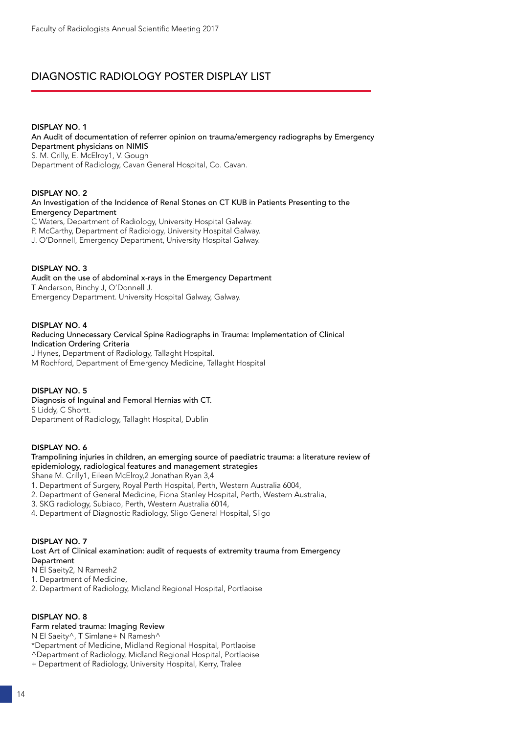# DIAGNOSTIC RADIOLOGY POSTER DISPLAY LIST

#### DISPLAY NO. 1

An Audit of documentation of referrer opinion on trauma/emergency radiographs by Emergency Department physicians on NIMIS S. M. Crilly, E. McElroy1, V. Gough Department of Radiology, Cavan General Hospital, Co. Cavan.

#### DISPLAY NO. 2

An Investigation of the Incidence of Renal Stones on CT KUB in Patients Presenting to the Emergency Department

C Waters, Department of Radiology, University Hospital Galway. P. McCarthy, Department of Radiology, University Hospital Galway. J. O'Donnell, Emergency Department, University Hospital Galway.

#### DISPLAY NO. 3

Audit on the use of abdominal x-rays in the Emergency Department T Anderson, Binchy J, O'Donnell J. Emergency Department. University Hospital Galway, Galway.

#### DISPLAY NO. 4

Reducing Unnecessary Cervical Spine Radiographs in Trauma: Implementation of Clinical Indication Ordering Criteria J Hynes, Department of Radiology, Tallaght Hospital. M Rochford, Department of Emergency Medicine, Tallaght Hospital

### DISPLAY NO. 5

Diagnosis of Inguinal and Femoral Hernias with CT. S Liddy, C Shortt. Department of Radiology, Tallaght Hospital, Dublin

### DISPLAY NO. 6

Trampolining injuries in children, an emerging source of paediatric trauma: a literature review of epidemiology, radiological features and management strategies

Shane M. Crilly1, Eileen McElroy,2 Jonathan Ryan 3,4

1. Department of Surgery, Royal Perth Hospital, Perth, Western Australia 6004,

2. Department of General Medicine, Fiona Stanley Hospital, Perth, Western Australia,

3. SKG radiology, Subiaco, Perth, Western Australia 6014,

4. Department of Diagnostic Radiology, Sligo General Hospital, Sligo

### DISPLAY NO. 7

Lost Art of Clinical examination: audit of requests of extremity trauma from Emergency Department

N El Saeity2, N Ramesh2

1. Department of Medicine,

2. Department of Radiology, Midland Regional Hospital, Portlaoise

### DISPLAY NO. 8

Farm related trauma: Imaging Review

N El Saeity^, T Simlane+ N Ramesh^

\*Department of Medicine, Midland Regional Hospital, Portlaoise

^Department of Radiology, Midland Regional Hospital, Portlaoise

+ Department of Radiology, University Hospital, Kerry, Tralee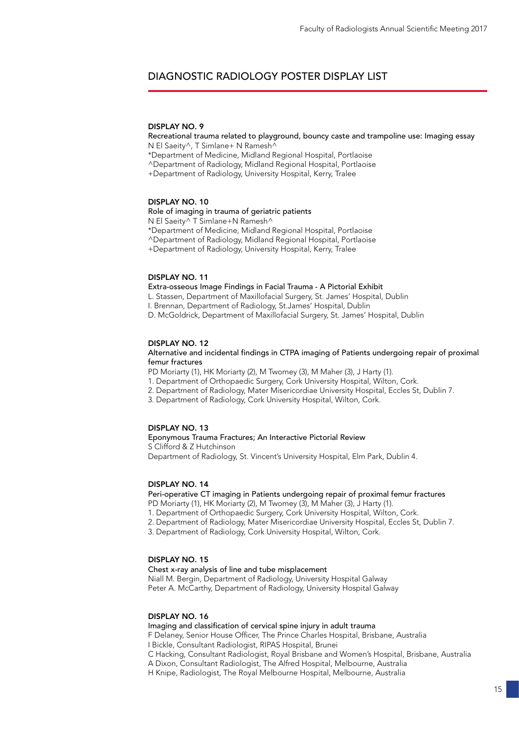### DIAGNOSTIC RADIOLOGY POSTER DISPLAY LIST

#### DISPLAY NO. 9

Recreational trauma related to playground, bouncy caste and trampoline use: Imaging essay N El Saeity^, T Simlane+ N Ramesh^

\*Department of Medicine, Midland Regional Hospital, Portlaoise

^Department of Radiology, Midland Regional Hospital, Portlaoise

+Department of Radiology, University Hospital, Kerry, Tralee

#### DISPLAY NO. 10

Role of imaging in trauma of geriatric patients N El Saeity^ T Simlane+N Ramesh^ \*Department of Medicine, Midland Regional Hospital, Portlaoise ^Department of Radiology, Midland Regional Hospital, Portlaoise +Department of Radiology, University Hospital, Kerry, Tralee

#### DISPLAY NO. 11

Extra-osseous Image Findings in Facial Trauma - A Pictorial Exhibit L. Stassen, Department of Maxillofacial Surgery, St. James' Hospital, Dublin I. Brennan, Department of Radiology, St.James' Hospital, Dublin D. McGoldrick, Department of Maxillofacial Surgery, St. James' Hospital, Dublin

#### DISPLAY NO. 12

#### Alternative and incidental findings in CTPA imaging of Patients undergoing repair of proximal femur fractures

PD Moriarty (1), HK Moriarty (2), M Twomey (3), M Maher (3), J Harty (1).

1. Department of Orthopaedic Surgery, Cork University Hospital, Wilton, Cork.

- 2. Department of Radiology, Mater Misericordiae University Hospital, Eccles St, Dublin 7.
- 3. Department of Radiology, Cork University Hospital, Wilton, Cork.

#### DISPLAY NO. 13

#### Eponymous Trauma Fractures; An Interactive Pictorial Review

S Clifford & Z Hutchinson

Department of Radiology, St. Vincent's University Hospital, Elm Park, Dublin 4.

#### DISPLAY NO. 14

#### Peri-operative CT imaging in Patients undergoing repair of proximal femur fractures PD Moriarty (1), HK Moriarty (2), M Twomey (3), M Maher (3), J Harty (1).

1. Department of Orthopaedic Surgery, Cork University Hospital, Wilton, Cork.

- 2. Department of Radiology, Mater Misericordiae University Hospital, Eccles St, Dublin 7.
- 3. Department of Radiology, Cork University Hospital, Wilton, Cork.

#### DISPLAY NO. 15

Chest x-ray analysis of line and tube misplacement

Niall M. Bergin, Department of Radiology, University Hospital Galway Peter A. McCarthy, Department of Radiology, University Hospital Galway

#### DISPLAY NO. 16

Imaging and classification of cervical spine injury in adult trauma

F Delaney, Senior House Officer, The Prince Charles Hospital, Brisbane, Australia

I Bickle, Consultant Radiologist, RIPAS Hospital, Brunei

C Hacking, Consultant Radiologist, Royal Brisbane and Women's Hospital, Brisbane, Australia

A Dixon, Consultant Radiologist, The Alfred Hospital, Melbourne, Australia

H Knipe, Radiologist, The Royal Melbourne Hospital, Melbourne, Australia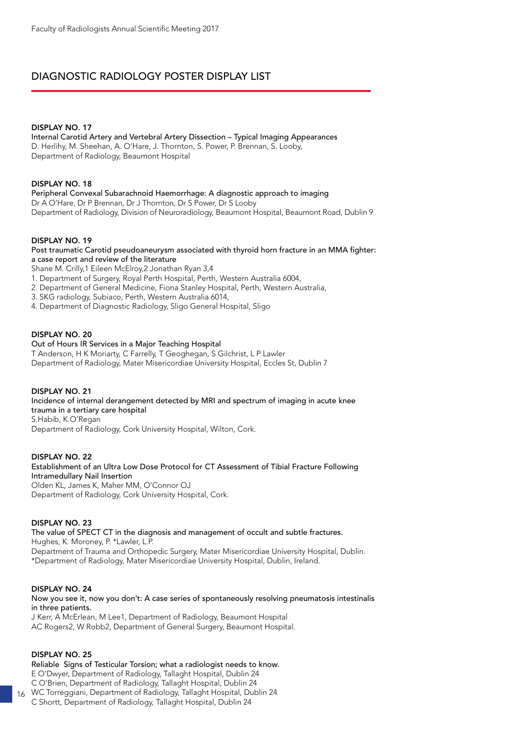# DIAGNOSTIC RADIOLOGY POSTER DISPLAY LIST

### DISPLAY NO. 17

Internal Carotid Artery and Vertebral Artery Dissection – Typical Imaging Appearances D. Herlihy, M. Sheehan, A. O'Hare, J. Thornton, S. Power, P. Brennan, S. Looby, Department of Radiology, Beaumont Hospital

### DISPLAY NO. 18

Peripheral Convexal Subarachnoid Haemorrhage: A diagnostic approach to imaging Dr A O'Hare, Dr P Brennan, Dr J Thornton, Dr S Power, Dr S Looby Department of Radiology, Division of Neuroradiology, Beaumont Hospital, Beaumont Road, Dublin 9

### DISPLAY NO. 19

Post traumatic Carotid pseudoaneurysm associated with thyroid horn fracture in an MMA fighter: a case report and review of the literature

Shane M. Crilly,1 Eileen McElroy,2 Jonathan Ryan 3,4

1. Department of Surgery, Royal Perth Hospital, Perth, Western Australia 6004,

- 2. Department of General Medicine, Fiona Stanley Hospital, Perth, Western Australia,
- 3. SKG radiology, Subiaco, Perth, Western Australia 6014,
- 4. Department of Diagnostic Radiology, Sligo General Hospital, Sligo

### DISPLAY NO. 20

Out of Hours IR Services in a Major Teaching Hospital

T Anderson, H K Moriarty, C Farrelly, T Geoghegan, S Gilchrist, L P Lawler Department of Radiology, Mater Misericordiae University Hospital, Eccles St, Dublin 7

### DISPLAY NO. 21

Incidence of internal derangement detected by MRI and spectrum of imaging in acute knee trauma in a tertiary care hospital S.Habib, K.O'Regan

Department of Radiology, Cork University Hospital, Wilton, Cork.

### DISPLAY NO. 22

Establishment of an Ultra Low Dose Protocol for CT Assessment of Tibial Fracture Following Intramedullary Nail Insertion Olden KL, James K, Maher MM, O'Connor OJ Department of Radiology, Cork University Hospital, Cork.

### DISPLAY NO. 23

The value of SPECT CT in the diagnosis and management of occult and subtle fractures. Hughes, K. Moroney, P. \*Lawler, L.P. Department of Trauma and Orthopedic Surgery, Mater Misericordiae University Hospital, Dublin. \*Department of Radiology, Mater Misericordiae University Hospital, Dublin, Ireland.

### DISPLAY NO. 24

Now you see it, now you don't: A case series of spontaneously resolving pneumatosis intestinalis in three patients.

J Kerr, A McErlean, M Lee1, Department of Radiology, Beaumont Hospital AC Rogers2, W Robb2, Department of General Surgery, Beaumont Hospital.

### DISPLAY NO. 25

Reliable Signs of Testicular Torsion; what a radiologist needs to know. E O'Dwyer, Department of Radiology, Tallaght Hospital, Dublin 24 C O'Brien, Department of Radiology, Tallaght Hospital, Dublin 24 WC Torreggiani, Department of Radiology, Tallaght Hospital, Dublin 24

16 C Shortt, Department of Radiology, Tallaght Hospital, Dublin 24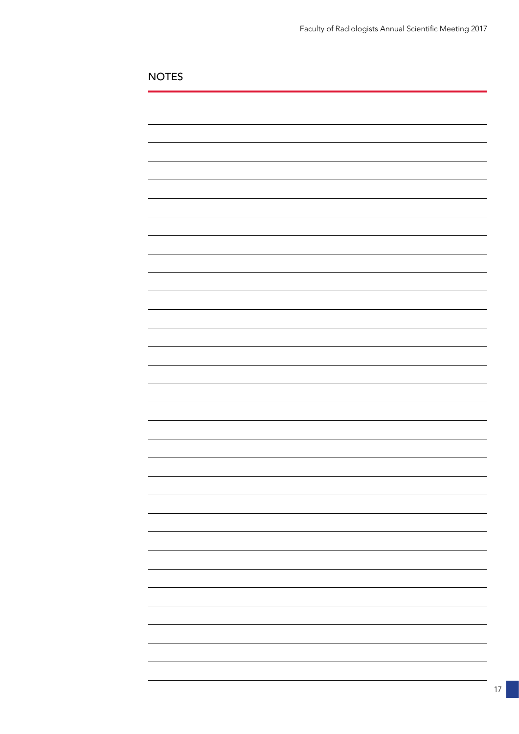NOTES

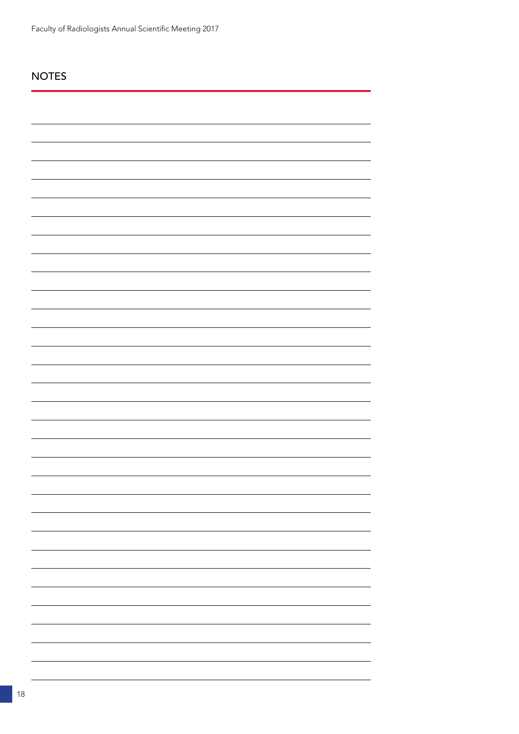# NOTES